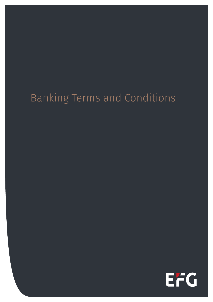# Banking Terms and Conditions

EFG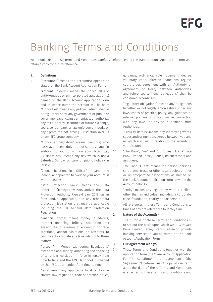# Banking Terms and Conditions

You should read these Terms and Conditions carefully before signing the Bank Account Application Form and retain a copy for future reference.

# 1. Definitions

1.1 "Account(s)" means the account(s) opened as stated on the Bank Account Application Form;

> "Account Holder(s)" means the individual(s) or entity/entities or unincorporated association(s) named on the Bank Account Application Form and in whose name the Account will be held; "Authorities" means any judicial, administrative or regulatory body, any government or public or government agency, instrumentality or authority, any tax authority, securities or future exchange, court, central bank or law enforcement body, or any agents thereof, having jurisdiction over us or any EFG group company;

> "Authorised Signatory" means person(s) who has/have been duly authorised by you in addition to you to sign on your Account(s); "Business day" means any day which is not a Saturday, Sunday or bank or public holiday in Jersey;

 "Client Relationship Officer" means the individual appointed to oversee your Account(s) with the Bank;

"Data Protection Laws" means the Data Protection (Jersey) Law 2018 and/or the Data Protection Authority (Jersey) Law 2018, as in force and/or applicable, and any other data protection legislation that may be applicable including the EU General Data Protection Regulation.

"Financial Crime" means money laundering, terrorist financing, bribery, corruption, tax evasion, fraud, evasion of economic or trade sanctions, and/or violations or attempts to circumvent or violate any laws relating to these matters;

"Jersey Anti Money Laundering Regulations" means the anti-money laundering and financing of terrorism legislation in force in Jersey from time to time and the AML Handbook published by the JFSC, as amended from time to time.

"laws" mean any applicable local or foreign statute, law, regulation, code of practice, police,

guidance, ordinance, rule, judgment, decree, voluntary code, directive, sanctions regime, court order, agreement with an Authority or agreement or treaty between Authorities, and references to "legal obligations" shall be construed accordingly;

"regulatory obligations" means any obligations (whether or not legally enforceable) under any laws, codes of practice, policy, any guidance or internal policies or procedures in connection with any laws, or any valid demand from Authorities;

"Security details" means any identifying words, codes and/or numbers agreed between you and us which are used in relation to the security of your Account;

- 1.2 "The Bank", "we" and "our" mean EFG Private Bank Limited, Jersey Branch, its successors and assignees;
- 1.3 "You" and "Client" means the person, persons, corporates, trusts or other legal bodies, entities or unincorporated associations as named on the Bank Account Application Form to whom the Account belongs;

"Entity" means any legal body who is a client other than an individual, including a corporate, trust, foundation, charity or partnership.

1.4 All references in these Terms and Conditions to times of day are references to Jersey time.

# 2. Nature of the Account(s)

The purpose of these Terms and Conditions is to set out the basis upon which we, EFG Private Bank Limited, Jersey Branch, agree to provide banking services to you as stated on the Bank Account Application Form.

# 3. Our Agreement with you

3.1 These Terms and Conditions together with the application form (the "Bank Account Application Form") constitute the agreement (the "Agreement") between us. A copy of our tariff as at the date of these Terms and Conditions is attached to these Terms and Conditions and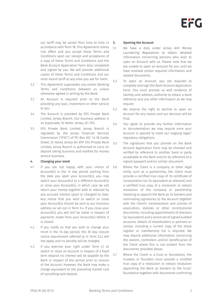our tariff may be varied from time to time in accordance with Term 18. This Agreement comes into effect and you accept these Terms and Conditions upon our receipt and acceptance of a copy of these Terms and Conditions and the Bank Account Application Form duly completed and signed by you. We will provide additional copies of these Terms and Conditions and our most recent tariff at any time you ask for them.

- 3.2 This Agreement supersedes any earlier Banking Terms and Conditions between us unless otherwise agreed in writing by the Bank.
- 3.3 An Account is required prior to the Bank providing any loan, investment or other service to you.
- 3.4 The Account is provided by EFG Private Bank Limited, Jersey Branch. Our business address is 44 Esplanade, St Helier, Jersey, JE1 3FG.
- 3.5 EFG Private Bank Limited, Jersey Branch is regulated by the Jersey Financial Services Commission ("JFSC") of PO Box 267, 14-18 Castle Street, St Helier, Jersey JE4 8TP. EFG Private Bank 5.5 Limited, Jersey Branch is authorised to carry on deposit taking business and notified for money service business.

## 4. Changing your mind

- 4.1 If you are not happy with your choice of 5.6 Account(s) in the 14 day period starting from the date you open your Account(s), you may switch your Account(s) to a different Account(s) or close your Account(s), in which case we will return your money together with or reduced by any accrued interest (paid or charged) to date. Any notice that you wish to switch or close your Account(s) should be sent to our business address as set out in Term 3.4. If you close your Account(s), you will still be liable in respect of payments made from your Account(s) before it is closed.
- 4.2 If you notify us that you wish to change your mind in the 14-day period, the 30 day closure notice requirement referred to in Term 22.2 will not apply and no penalty will be charged.
- 4.3 If you exercise your right under Term 4.1 to switch or close an Account in respect of a fixed term deposit no interest will be payable by the Bank in respect of the period prior to closure of the Account. However, the Bank may make a charge equivalent to the prevailing market cost of cancelling said deposit.

## 5. Opening the Account

- 5.1 We have a duty under Jersey Anti Money Laundering Regulations to obtain detailed information concerning persons who wish to open an Account with us. Please note that we are unable to open an Account for you until we have received certain required information and related documents.
- 5.2 To open an Account, you are required to complete and sign the Bank Account Application Form. You must provide us with evidence of identity and address, authority to obtain a bank reference and any other information as we may require.
- 5.3 We reserve the right to decline to open an Account for any reason and our decision will be final.
- 5.4 You agree to provide any further information or documentation we may require once your Account is opened to meet our ongoing legal/ regulatory obligations.
- The signatures that you provide on the Bank Account Application Form may be checked and verified by reference to another bank or party acceptable to the Bank and/or by reference to a signed passport and/or similar document.
- Where the Client is a company or other legal entity such as a partnership, the Client must provide a certified true copy of its certificate of incorporation (or its equivalent as relevant) and a certified true copy of a resolution or extract resolution of the company or partnership resolving to appoint the Bank as its bankers and nominating signatories to the Account together with the Client's memorandum and articles of association, statutes or other constitutional documents, including appointments of directors (or equivalent) and a recent set of signed audited accounts. Details of shareholders or partners or similar, including a current copy of the share register or membership list is required. We may require additional information concerning the owners, controllers and/or beneficiaries of the Client where this is not evident from the documents provided above.
- 5.7 Where the Client is a trust or foundation, the trustees or founders must provide a certified true copy of a resolution or extract resolution appointing the Bank as bankers to the trust/ foundation together with documents confirming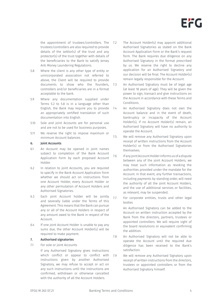the appointment of trustees/controllers. The trustees/controllers are also required to provide details of the settlor(s) of the trust and any protector(s) of the trust together with details of the beneficiaries to the Bank to satisfy Jersey Anti Money Laundering Regulations.

- 5.8 Where the client is any other type of entity or unincorporated association not referred to above, the Client will be required to provide documents to show who the founders, controllers and/or beneficiaries are in a format acceptable to the bank.
- 5.9 Where any documentation supplied under Terms 5.2 to 5.8 is in a language other than English, the Bank may require you to provide an appropriately certified translation of such documentation into English.
- 5.10 Sole and joint Accounts are for personal use and are not to be used for business purposes.
- 5.11 We reserve the right to impose maximum or minimum Account balances.

## 6. Joint Accounts

- 6.1 An Account may be opened in joint names subject to completion of the Bank Account Application Form by each proposed Account Holder.
- 6.2 In relation to joint Accounts, you are required to specify in the Bank Account Application Form whether we should act on instructions from one Account Holder, every Account Holder or any other permutation of Account Holders and Authorised Signatories.
- 6.3 Each joint Account holder will be jointly and severally liable under the Terms of this Agreement. This means that the Bank can pursue any or all of the Account Holders in respect of any amount owed to the Bank in respect of the Account.
- 6.4 If one joint Account Holder is unable to pay any sums due, the other Account Holder(s) will be required to make payment.

## 7. Authorised signatories

7.1 For sole or joint Accounts

If any Authorised Signatory gives instructions which conflict or appear to conflict with 7.9 instructions given by another Authorised Signatory, we may refuse to accept or act on any such instructions until the instructions are confirmed, withdrawn or otherwise cancelled with the authority of all the Account Holders.

The Account Holder(s) may appoint additional Authorised Signatories as stated on the Bank Account Application Form or the Bank's request form. The Bank requires due diligence on any Authorised Signatory in the format prescribed by us. We reserve the right to decline any application for an Authorised Signatory and our decision will be final. The Account Holder(s) remain legally responsible for the Account.

7.3 An Authorised Signatory must be of legal age (at least 18 years of age). They will be given the power to sign, transact and give instructions on the Account in accordance with these Terms and Conditions.

7.4 An Authorised Signatory does not own the Account balance and in the event of death, bankruptcy or incapacity of the Account Holder(s), if no Account Holder(s) remain, an Authorised Signatory will have no authority to operate the Account.

7.5 We will remove any Authorised Signatory upon receipt of written instructions from the Account Holder(s) or from the Authorised Signatories themselves.

7.6 If any joint Account Holder informs us of a dispute between any of the joint Account Holders, we may treat such information as revoking the authorities provided under the mandate for the Account. In that event, any further transactions, including payments by standing order, will need the authority of all the joint Account Holders, and the use of additional services or facilities, as relevant, may be suspended.

7.7 For corporate entities, trusts and other legal bodies

> An Authorised Signatory can be added to the Account on written instruction accepted by the Bank from the directors, partners, trustees or appointed controllers. We will require sight of the board resolutions or equivalent confirming the addition.

7.8 An Authorised Signatory will not be able to operate the Account until the required due diligence has been received to the Bank's satisfaction.

We will remove any Authorised Signatory upon receipt of written instructions from the directors, trustees or appointed controllers or from the Authorised Signatory himself.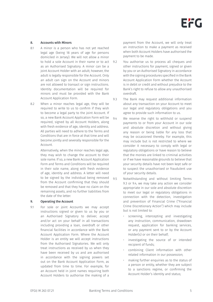## 8. Accounts with Minors

- 8.1 A minor is a person who has not yet reached legal age (being 18 years of age for persons domiciled in Jersey). We will not allow a minor to hold a sole Account in their name or to act as an Authorised Signatory. A minor can be a joint Account Holder with an adult; however, the adult is legally responsible for the Account. Only an adult can sign on the Account and minors are not allowed to transact or sign instructions. Identity documentation will be required for minors and must be provided with the Bank Account Application Form.
- 8.2 When a minor reaches legal age, they will be required to write to us to confirm if they wish to become a legal party to the joint Account. If so, a new Bank Account Application Form will be required, signed by all Account Holders, along with fresh evidence of age, identity and address. All parties will need to adhere to the Terms and Conditions that are in force at that time and will become jointly and severally responsible for the Account.

Alternatively, when the minor reaches legal age, they may wish to change the account to their sole name. If so, a new Bank Account Application Form and Terms and Conditions will be required in their sole name, along with fresh evidence of age, identity and address. A letter will need to be signed by the individual being removed from the Account confirming that they should be removed and that they have no claim on the remaining assets, and no further liabilities from the date of the letter.

#### 9. Operating the Account

9.1 For sole or joint Accounts we may accept instructions signed or given to us by you or an Authorised Signatory to deliver, accept and/or act on your behalf in all transactions including providing a loan, overdraft or other financial facilities in accordance with the Bank Account Application Form. Where the Account Holder is an entity we will accept instructions from the Authorised Signatories. We will only treat instructions as received by us when they have been received by us and are authorised in accordance with the signing powers set out on the Bank Account Application Form, as updated from time to time. For example, for an Account held in joint names requiring both Account Holders to authorise the making of a

payment from the Account, we will only treat an instruction to make a payment as received when both Account Holders have authorised the payment to be made.

You authorise us to process all cheques and other instructions for payment, signed or given by you or an Authorised Signatory in accordance with the signing procedures specified in the Bank Account Application Form whether the Account is in debit or credit and without prejudice to the Bank's right to refuse to allow any unauthorised overdraft.

9.3 The Bank may request additional information about any transaction on your Account to meet our legal and regulatory obligations and you agree to provide such information to us.

- 9.4 We reserve the right to withhold or suspend payments to or from your Account in our sole and absolute discretion and without giving any reason or being liable for any loss that may be occasioned thereby. For example, this may include but is not restricted to where we consider it necessary to comply with legal or regulatory obligations or have reason to believe that the monies are linked to criminal activities or if we have reasonable grounds to believe that your security details have not been kept safe or to suspect the unauthorised or fraudulent use of your security details.
- 9.5 Notwithstanding and without limiting Terms 9.3 or 9.4, we may take any action we consider appropriate in our sole and absolute discretion to meet our legal or regulatory obligations in connection with the detection, investigation and prevention of Financial Crime ("Financial Crime Discretionary Action") which may include but is not limited to:
	- screening, intercepting and investigating any instruction, communication, drawdown request, application for banking services, or any payment sent to or by the Account Holder(s) or on their behalf;
	- investigating the source of or intended recipient of funds;
	- combining Client information with other related information in our possession;
	- making further enquiries as to the status of a person or entity, whether they are subject to a sanctions regime, or confirming the Account Holder's identity and status;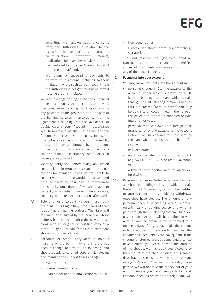

- consulting with, and/or seeking consents from, the Authorities in relation to the execution by us of any instruction, communication, drawdown request, application for banking services, or any payment sent to or by the Account Holder(s) or on their behalf; and/or
- withholding or suspending payments to or from your Account, including (without limitation) where such consent sought from the Authorities is not granted but no formal freezing order is in place.

You acknowledge and agree that any Financial Crime Discretionary Action carried out by us may result in us delaying, blocking or refusing any payment or the provision of all or part of the banking services in accordance with the Agreement (including, for the avoidance of doubt, closing your Account in accordance with Term 22) and we shall not be liable to the Account Holder or any third party in respect of any losses or costs suffered or incurred by, or any action or suit brought by, the Account Holder or a third party in connection with any Financial Crime Discretionary Action or such consequences thereof.

- 9.6 We may notify you before taking any action contemplated in Term 9.4 or 9.5 and tell you our reasons for doing so unless we are unable to contact you or to do so would, in our sole and absolute discretion, be unlawful or compromise our security procedures. If we are unable to contact you beforehand, we will, where possible, contact you and tell you our reasons afterwards.
- 9.7 Sole and joint Account Holders must notify the bank in writing if they have changed their residential or mailing address. The Bank will require a letter signed by the individual whose address has changed stating the new address, along with an original or certified copy of a recent utility bill or bank/credit card statement showing your new address.
- 9.8 Corporate or other Entity account holders must notify the bank in writing if there has been a change to any of the following, and should supply a certified copy of all relevant documentation to support these changes:
	- Mailing address
	- Company/entity name
	- Shareholder or additional settlor to a trust
- New beneficiaries
- Directors/trustees/controllers/protectors/ signatories.

The Bank reserves the right to suspend all transactions on the account until certified copies of documents are received to support any of the above changes.

## 10. Payments into your Account

10.1 You may make payments into the Account by:

- personal cheque in Sterling payable to the Account Holder which is drawn on a UK bank or building society and which is paid through the UK clearing system. Cheques that are crossed "account payee" can only be paid into an Account held in the name of the payee and cannot be endorsed or paid into another Account.
- personal cheque drawn on a foreign bank in any currency and payable to the Account Holder. Foreign cheques will be sent to the bank which has issued the cheque for payment;
- banker's draft;
- electronic transfer from a third party bank (e.g. SWIFT, CHAPS, BACS or Faster Payment); or
- a transfer from another account which you hold with us.
- 10.2 Personal cheques in Sterling which are drawn on a UK bank or building society and which are paid through the UK clearing system will be credited to your Account and available for withdrawal once they have cleared. The amount of any personal cheque in Sterling which is drawn on a UK bank or building society and which is paid through the UK clearing system which you pay into your Account will be credited to your Account and be available for withdrawal four Business days after you have paid the cheque in but this does not necessarily mean that the cheque has been paid by the paying bank. If the cheque is returned without being paid after we have credited your Account with the amount of the cheque, we may debit your Account by the amount of the cheque unless six Business days have passed since you paid the cheque into your Account. After six Business days have passed, we will not take the money out of your Account unless you have been party to fraud. Personal cheques drawn on a foreign bank will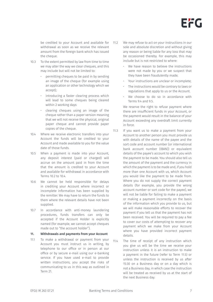

be credited to your Account and available for withdrawal as soon as we receive the relevant amount from the foreign bank which has issued the cheque.

- 10.3 To the extent permitted by law from time to time we may alter the way we clear cheques, and this may include but will not be limited to:
	- permitting cheques to be paid in by sending an image of the cheque (for example using an application or other technology which we accept);
	- introducing a faster clearing process which will lead to some cheques being cleared within 2 working days:
	- clearing cheques using an image of the cheque rather than a paper version meaning that we will not receive the physical, original paper cheque and cannot provide paper copies of the cheque.
- 10.4 Where we receive electronic transfers into your Account the funds will be credited to your Account and made available to you for the value date of those funds.
- 10.5 When a payment is made into your Account, any deposit interest (paid or charged) will accrue on the amount paid in from the time that the amount is credited to your Account and available for withdrawal in accordance with Terms 10.2 to 10.4.
- 10.6 We cannot be held responsible for delays in crediting your Account where incorrect or incomplete information has been supplied by the remitter. We may have to return the funds to them where the relevant details have not been supplied.
- 10.7 In accordance with anti-money laundering procedures, funds transfers can only be accepted if the Account Holder is explicitly named (for example, we cannot accept cheques made out to "the account holder").

## 11. Withdrawals and payments from your Account

11.1 To make a withdrawal or payment from your Account you must instruct us in writing, by telephone to our office or in person at our office or by secure e-mail using our e-banking service. If you have used e-mail to provide written instructions, you accept the risks of communicating to us in this way as outlined in Term 21.

- 11.2 We may refuse to act on your instructions in our sole and absolute discretion and without giving any reason or being liable for any loss that may be occasioned thereby. For example, this may include but is not restricted to where:
	- We have reason to believe the instructions were not made by you or we suspect that they have been fraudulently made;
	- Your instructions are unclear or incomplete;
	- The instructions would be contrary to laws or regulations that apply to us or the Account.
	- We choose to do so in accordance with Terms  $94$  and  $95$ .

We reserve the right to refuse payment where there are insufficient funds in your Account, or the payment would result in the balance of your Account exceeding any overdraft limit currently in force.

11.3 If you want us to make a payment from your Account to another person you must provide us with details of the name of the payee and the sort code and account number (or international bank account number (IBAN)) or equivalent details of the payee's account to which you wish the payment to be made. You should also tell us the amount of the payment and the currency in which the payment is to be made and, if you hold more than one Account with us, which Account you would like the payment to be made from. Where you do not supply the correct payment details (for example, you provide the wrong account number or sort code for the payee), we will not be liable for failing to make a payment or making a payment incorrectly on the basis of the information which you provide to us, but we will make reasonable efforts to recover the payment if you tell us that the payment has not been received. You will be required to pay a fee to cover our costs of attempting to recover any payment which we make from your Account where you have provided incorrect payment details.

11.4 The time of receipt of any instruction which you give us will be the time we receive your instruction unless it is an instruction to make a payment in the future (refer to Term 11.5) or unless the instruction is received by us after 15:30 on a Business day or on a day which is not a Business day, in which case the instruction will be treated as received by us at the start of the next Business day.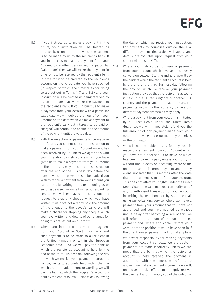- 11.5 If you instruct us to make a payment in the future, your instruction will be treated as received by us on the date on which the payment is to be made by us to the recipient's bank. If you instruct us to make a payment from your Account to another person with a particular "value date" then we will make the payment in time for it to be received by the recipient's bank in time for it to be credited to the recipient's account on the value date you have specified (in respect of which the timescales for doing so are set out in Terms 11.7 and 11.8) and your instruction will be treated as being received by us on the date that we make the payment to the recipient's bank. If you instruct us to make a payment from your Account with a particular value date, we will debit the amount from your Account on the date when we make payment to the recipient's bank but interest (to be paid or charged) will continue to accrue on the amount of the payment until the value date.
- 11.6 With the exception of payments to be made in the future, you cannot cancel an instruction to make a payment from your Account once it has been received by us unless we agree this with you. In relation to instructions which you have given us to make a payment from your Account in the future you may not cancel this instruction after the end of the Business day before the date on which the payment is to be made. If you wish to cancel a payment from your Account you can do this by writing to us, telephoning us or sending us a secure e-mail using our e-banking service. We will endeavour to carry out any request to stop any cheque which you have written if we have not already paid the amount of the cheque to the payee's bank. We will make a charge for stopping any cheque which you have written and details of our charges for doing this are set out on our tariff.
- 11.7 Where you instruct us to make a payment from your Account in Sterling or Euro, and such payment is to be made to a recipient in the United Kingdom or within the European Economic Area (EEA), we will pay the bank at which the recipient's account is held by the end of the third Business day following the day on which we receive your payment instruction. For payments to accounts held within the EEA which are not made in Euro or Sterling, we will pay the bank at which the recipient's account is held by the end of fourth Business day following

the day on which we receive your instruction. For payments to countries outside the EEA, different payment timescales will apply and details are available upon request from your Client Relationship Officer.

- 11.8 Where you instruct us to make a payment from your Account which involves a currency conversion between Sterling and Euro, we will pay the bank at which the recipient's account is held by the end of the third Business day following the day on which we receive your payment instruction provided that the recipient's account is held in the United Kingdom or another EEA country and the payment is made in Euro. For payments involving other currency conversions different payment timescales may apply.
- 11.9 Where a payment from your Account is initiated by a Direct Debit, under the Direct Debit Guarantee we will immediately refund you the full amount of any payment made from your Account following any error made by ourselves or the originator.
- 11.10 We will not be liable to you for any loss in respect of a payment from your Account which you have not authorised us to make, or which has been incorrectly paid, unless you notify us without undue delay on becoming aware of the unauthorised or incorrect payment and, in any event, not later than 13 months after the date that the payment is made from your Account. This does not affect your rights under the Direct Debit Guarantee Scheme. You can notify us of any unauthorised transaction on your Account in writing, by telephone or by secure e-mail using our e-banking service. Where we make a payment from your Account that you have not authorised and you have notified us without undue delay after becoming aware of this, we will refund the amount of the unauthorised payment and, where applicable, restore your Account to the position it would have been in if the unauthorised payment had not taken place.
- 11.11 We accept responsibility for making payments from your Account correctly. We are liable if payments are made incorrectly unless we can prove that the bank at which the recipient's account is held received the payment in accordance with the timescales referred to above. If we make a payment incorrectly, we will, on request, make efforts to promptly recover the payment and will notify you of the outcome.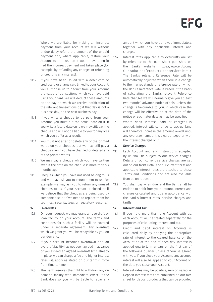Where we are liable for making an incorrect payment from your Account we will without undue delay refund the amount of the unpaid payment and, where applicable, restore your Account to the position it would have been in had the incorrect payment not taken place (for example, by refunding any charges or refunding or crediting any interest).

- 11.12 If you have been issued with a debit card or credit card or charge card linked to your Account, you authorise us to deduct from your Account the value of transactions which you have paid using your card. We will deduct these amounts on the day on which we receive notification of the relevant transactions or, if that day is not a Business day, on the next Business day.
- 11.13 If you write a cheque to be paid from your Account, you must put the actual date on it. If you write a future date on it, we may still pay the cheque and will not be liable to you for any loss which you suffer as a result.
- 11.14 You must not alter or delete any of the printed words on your cheques, but we may still pay a cheque even if you have changed or deleted any of the printed words.
- 11.15 We may pay a cheque which you have written even if the date on the cheque is more than six months ago.
- 11.16 Cheques which you have not used belong to us and we may ask you to return them to us. For example, we may ask you to return any unused cheques to us if your Account is closed or if we believe that the cheques are being used by someone else or if we need to replace them for technical, security, legal or regulatory reasons.

## 12. Overdrafts

- 12.1 On your request, we may grant an overdraft or loan facility on your Account. The terms and conditions for such a facility will be covered under a separate agreement. Any overdraft which we grant you will be repayable by you on our demand.
- 12.2 If your Account becomes overdrawn and an overdraft facility has not been agreed in advance or you exceed an agreed overdraft limit already in place, we can charge a fee and higher interest rates will apply as stated on our tariff in force from time to time.
- 12.3 The Bank reserves the right to withdraw any on 14.3 demand facility with immediate effect. If the Bank does so, you will be liable to repay any

amount which you have borrowed immediately, together with any applicable interest and charges.

- 12.4 Interest rates applicable to overdrafts are set by reference to the Rate Sheet published on the Bank's website (https:/[/www.efgl.com/](http://www.efgl.com/) Our-solutions/Products-andservices.html). The Bank's relevant Reference Rate will be automatically adjusted when there is a change to the market standard reference rate on which the Bank's Reference Rate is based. If the basis of calculating the Bank's relevant Reference Rate changes we will normally give you at least two months' advance notice of this, unless the change is favourable to you, in which case the change will be effective as at the date of the notice or such later date as may be specified.
- 12.5 Where debit interest (paid or charged) is applied, interest will continue to accrue (and will therefore increase the amount owed) until any overdrawn amount is cleared together with the interest charged on it.

## 13. Service Charges

- 13.1 Each Account and any instructions accepted by us shall be subject to our service charges. Details of our current service charges are set out on our tariff. Details of our current tariff and applicable interest rates are attached to these Terms and Conditions and are also available from us on request.
- 13.2 You shall pay when due, and the Bank shall be entitled to debit from your Account, interest and charges calculated and due in accordance with the Bank's interest rates, service charges and tariffs.

## 14. Interest and Tax

- 14.1 If you hold more than one Account with us, each Account will be treated separately for the purposes of calculating interest and tax.
- 14.2 Credit and debit interest on Accounts is calculated daily by applying the appropriate rate of interest to the cleared balance on the Account as at the end of each day. Interest is applied quarterly in arrears on the first day of the following quarter unless otherwise agreed with you. If you close your Account, any accrued interest will also be applied to your Account on the date you close your Account.
	- Interest rates may be positive, zero or negative. Deposit interest rates are published on our rate sheet for deposit products that can be provided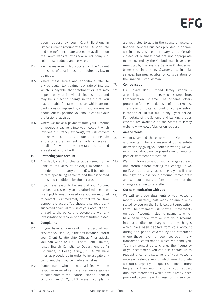upon request by your Client Relationship Officer. Current Account rates, the EFG Bank Rate and the Reference Rate are made available on the Bank's website (https:/[/www.](http://www/) efgl.com/Oursolutions/Products-and services. html).

- 14.4 We may make such deductions from the Account in respect of taxation as are required by law to be made.
- 14.5 Where these Terms and Conditions refer to any particular tax treatment or rate of interest which is payable, that treatment or rate may depend on your individual circumstances and may be subject to change in the future. You may be liable for taxes or costs which are not paid via us or imposed by us. If you are unsure about your tax position you should consult your professional adviser.
- 14.6 Where we make a payment from your Account or receive a payment into your Account which involves a currency exchange, we will convert the relevant currencies at our prevailing rate at the time the payment is made or received. Details of how our prevailing rate is calculated are set out on our tariff.

## 15. Protecting your Account

- 15.1 Any debit, credit or charge cards issued by the Bank to the Account holder/s (whether EFG branded or third party branded) will be subject to card specific agreements and the associated terms and conditions for those cards.
- 15.2 If you have reason to believe that your Account has been accessed by an unauthorised person or is subject to unauthorised use you are required to contact us immediately so that we can take appropriate action. You should also report any suspected or actual misuse of your Account and/ or card to the police and co-operate with any investigation to recover or prevent further losses.

## 16. Complaints

- 16.1 If you have a complaint in respect of our services, you should, in the first instance, inform your Client Relationship Officer. Alternatively, you can write to EFG Private Bank Limited, Jersey Branch Compliance Department at 44 Esplanade, St Helier, Jersey, JE1 3FG. We have internal procedures in order to investigate any complaint that may be made against us.
- 16.2 Complainants who are not satisfied with the response received can refer certain categories of complaints to the Channel Islands Financial Ombudsman (CIFO). CIFO relevant complaints

are restricted to acts in the course of relevant financial services business provided in or from within Jersey since 1 January 2010. Certain classes of business that are not appropriate to be covered by the Ombudsman have been exempted by The Financial Services Ombudsman (Exempt Business) (Jersey) Order 2014. Financial services business eligible for consideration by the Financial Ombudsman.

## 17. Compensation

17.1 EFG Private Bank Limited, Jersey Branch is a participant in the Jersey Bank Depositors Compensation Scheme. The Scheme offers protection for eligible deposits of up to £50,000. The maximum total amount of compensation is capped at £100,000,000 in any 5 year period. Full details of the Scheme and banking groups covered are available on the States of Jersey website [www.](http://www/) gov.ie/dcs, or on request.

## 18. Amendments

- 18.1 We may amend these Terms and Conditions and our tariff for any reason at our absolute discretion by giving you notice in writing. We will inform you about any proposed amendments by post or statement notification.
- 18.2 We will inform you about such changes at least one month before making the change. If we notify you about any such changes, you will have the right to close your account immediately and without penalty before the date that the changes are due to take effect.

## 19. Our communication with you

19.1 We will send you statements of your Account monthly, quarterly, half yearly or annually as stated by you on the Bank Account Application Form. The statement will show all movements on your Account, including payments which have been made from or into your Account, interest credited or charged and any charges which have been debited from your Account during the period covered by the statement where these have not been set out in any transaction confirmation which we send you. You may contact us to change the frequency of your statement. You can also contact us to request a current statement of your Account once each calendar month, which we will provide without charge. If you request statements more frequently than monthly, or if you request duplicate statements which have already been provided to you, we will charge for this service.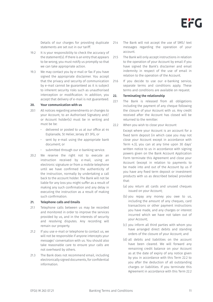Details of our charges for providing duplicate statements are set out in our tariff.

- 19.2 It is your responsibility to check the accuracy of the statement(s). If there is an entry that appears to be wrong, you must notify us promptly so that we can take appropriate action.
- 19.3 We may contact you by e-mail or fax if you have signed the appropriate disclaimer. You accept that the privacy and security of communication by e-mail cannot be guaranteed as it is subject to inherent security risks such as unauthorised interception or modification. In addition, you accept that delivery of e-mail is not guaranteed.

#### 20. Your communication with us

- 20.1 All notices regarding amendments or changes to your Account, to an Authorised Signatory and/ or Account holder(s) must be in writing and must be be:
	- • delivered or posted to us at our office at 44 Esplanade, St Helier, Jersey JE1 3FG, or
	- sent by e-mail using the appropriate bank document; or
	- submitted through our e-banking service.
- 20.2 We reserve the right not to execute an instruction received by e-mail, using an electronic signature or from a mobile telephone until we have confirmed the authenticity of the instruction, normally by undertaking a call back to the account holder. The Bank will not be liable for any loss you might suffer as a result of making any such confirmation and any delay in executing the instruction as a result of making such confirmation.

#### 21. Telephone calls and Emails

- 21.1 Telephone calls between us may be recorded and monitored in order to improve the services provided by us, and in the interests of security and resolving disputes. Any recording will remain our property.
- 21.2 If you use e-mail or telephone to contact us, we will not be responsible if anyone intercepts your message/ conversation with us. You should also take reasonable care to ensure your calls are not overheard by others.
- 21.3 The Bank does not recommend email, including electronically signed documents, for confidential information.
- 214 The Bank will not accept the use of SMS/ text messages regarding the operation of your account.
- 21.5 The Bank will only accept instructions in relation to the operation of your Account by email if you have signed the Bank's disclaimer and email indemnity in respect of the use of email in relation to the operation of the Account.
- 21.6 If you decide to use our e-banking service, separate terms and conditions apply. These terms and conditions are available on request.

#### 22. Terminating the relationship

- 22.1 The Bank is released from all obligations including the payment of any cheque following the closure of your Account with us. Any credit received after the Account has closed will be returned to the remitter.
- 22.2 When you wish to close your Account

Except where your Account is an account for a fixed term deposit (in which case you may not close your Account except in accordance with Term 4.3), you can at any time upon 30 days' written notice to us in accordance with signing powers given on the Bank Account Application Form terminate this Agreement and close your Account (except in relation to payments to be made into and out of the Account by us if you have any fixed term deposit or investment products with us as described below) provided that:

- (a) you return all cards and unused cheques issued on your Account;
- (b) you repay any money you owe to us, including the amount of any cheques, card transactions or other payment instructions you have made, and any charges or interest incurred which we have not taken out of your Account;
- (c) you inform all third parties with whom you have arranged direct debits and standing orders of the closure of your Account; and
- (d) all debits and liabilities on the account have been cleared. We will forward any remaining credit balance on your Account as at the date of expiry of any notice given by you in accordance with this Term 22.2 to you after the deduction of all outstanding charges or liabilities. If you terminate this Agreement in accordance with this Term 22.2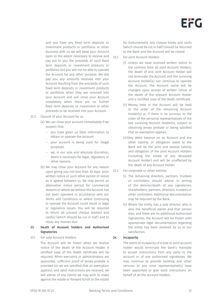and you have any fixed term deposits or investment products or portfolios or other business with us we will keep your Account open to the extent necessary to receive and pay out to you the proceeds of such fixed term deposits or investment products or portfolios but you will not be able to operate the Account for any other purpose. We will pay you any amounts received into your Account resulting from the proceeds of such fixed term deposits or investment products or portfolios when they are received into your Account and will close your Account completely when there are no further fixed term deposits or investment or other proceeds to be received into your Account.

## 22.3 Closure of your Account by us

- (a) We can close your account immediately if we suspect that;
	- you have given us false information to obtain or operate the account
	- your account is being used for illegal purposes
	- we, in our sole and absolute discretion, deem it necessary for legal, regulatory or other reasons.
- (b) We may close your Account for any reason upon giving you not less than 30 days' prior written notice or such other period of notice as is agreed between us. We may permit an alternative notice period for commercial reasons or where we believe the Account has not been operated in accordance with our Terms and Conditions or where continuing to operate the Account could result in legal or regulatory issues. You will be required to return all unused cheque book(s) and card(s) (which should be cut in half) and to repay any monies due.

## 23. Death of Account holders and Authorised **Signatories**

## 23.1 For sole Account Holders

The Account will be frozen when we receive notice of the death of the Account Holder. A certified copy of the death certificate will be required. When executors or administrators are appointed, sufficient proof of Jersey probate is provided (or we are satisfied that an exemption applies), and valid instructions are received, we will advise of any claims we may wish to make against the estate or forward funds to the estate

for disbursement. Any cheque books and cards (which should be cut in half) should be returned to the Bank and the Account will be closed.

- 23.2 For joint Account Holders
	- (i) Unless we have received written notice to the contrary from all joint Account Holders, the death of one joint Account Holder will not terminate the Account and the surviving Account Holder(s) can continue to operate the Account. The Account name will be changed upon receipt of written notice of the death of the relevant Account Holder and a certified copy of the death certificate.
	- (ii) Money held in the Account will be held to the order of the remaining Account Holder(s) or, if there is no survivor, to the order of the personal representatives of the last surviving Account Holder(s), subject to obtaining Jersey probate or being satisfied that an exemption applies.
	- (iii) Any debit balance on an Account and any other liability or obligation owed to the Bank will be the joint and several liability and obligation of the joint Account Holders (including the estate of any deceased Account Holder) and will be unaffected by the death of any Account Holder.
- 23.3 For corporate or other entities
	- (i) The remaining directors, partners, trustees or controllers should advise in writing of the demise/death of any signatories, shareholders, partners, directors, trustees or other controllers. Additional documentation may be required by the Bank.
	- (ii) Where the entity has a sole director, who is also the beneficial owner and that person dies, and there are no additional Authorised Signatories, the Account will be frozen until appropriate legal documentation regarding the entity has been received by us to our satisfaction.

## 24. **Incapacity**

The event of incapacity of a sole or joint account holder would terminate the bank's mandate to accept instructions from any party to the account or of any authorised signatories. We may continue to provide banking and other services to you once representative(s) have been appointed to give valid instructions on behalf of all the account holders.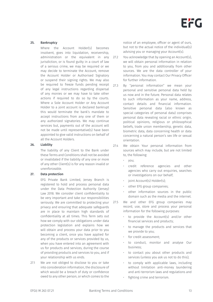### 25. Bankruptcy

Where the Account Holder(s) becomes insolvent, goes into liquidation, receivership, administration or the equivalent in any jurisdiction, or is found guilty in a court of law of a serious crime, we may be required or we may decide to terminate the Account, remove the Account Holder or Authorised Signatory or suspend their signing rights. We may also be required to freeze funds pending receipt of any legal instructions regarding dispersal of any monies or we may have to take other actions if required to do so by the courts. Where a Sole Account Holder or Any Account Holder to a joint account is declared bankrupt this would terminate the bank's mandate to accept instructions from any one of them or any authorized signatories. We may continue services but, payments out of the account will not be made until representative(s) have been appointed to give valid instructions on behalf of all the Account Holders.

#### 26. Liability

The liability of any Client to the Bank under these Terms and Conditions shall not be avoided or invalidated if the liability of any one or more of any other Client(s) is for any reason invalid or unenforceable.

## 27. Data protection

EFG Private Bank Limited, Jersey Branch is registered to hold and process personal data under the Data Protection Authority (Jersey) Law 2018. We consider client confidentiality to be very important and take our responsibilities seriously. We are committed to protecting your privacy and ensuring that adequate safeguards are in place to maintain high standards of confidentiality at all times. This Term sets out how we comply with our obligations under data protection legislation and explains how we will obtain and process your data prior to you becoming a client, once you have applied for any of the products or services provided by us, when you have entered into an agreement with us for products and services, during the course of providing products and services to you, and if your relationship with us ends.

27.1 We are not obliged to disclose to you or take into consideration information, the disclosure of which would be a breach of duty or confidence owed to any other person, or which comes to the

notice of an employee, officer or agent of ours, but not to the actual notice of the individual(s) advising you or managing your Account(s).

- 27.2 You acknowledge that by opening an Account(s), we will obtain personal information in relation to you, from you and additionally from other sources. We are the data controller of your information. You may contact Our Privacy Officer for further information.
- 27.3 By "personal information" we mean your personal and sensitive personal data held by us now and in the future. Personal data relates to such information as your name, address, contact details and financial information. Sensitive personal data (also known as special categories of personal data) comprises personal data revealing racial or ethnic origin, political opinions, religious or philosophical beliefs, trade union membership, genetic data, biometric data, data concerning health or data concerning a natural person's sex life or sexual orientation.
- 27.4 We obtain Your personal information from sources which may include, but are not limited to, the following:
	- you;
	- credit reference agencies and other agencies who carry out enquiries, searches or investigations on our behalf;
	- ioint Account(s) Holder(s):
	- other EFG group companies;
	- other information sources in the public domain such as the media and the internet.
- 27.5 We and other EFG group companies may record, use, store and process your personal information for the following purposes:
	- to provide the Account(s) and/or other financial services and products;
	- to manage the products and services that we provide to you;
	- for credit assessment:
	- to conduct, monitor and analyse Our business;
	- to contact you about other products and services (unless you ask us not to do this);
	- to comply with applicable laws, including without limitation anti-money laundering and anti-terrorism laws and regulations and
	- fighting crime and terrorism.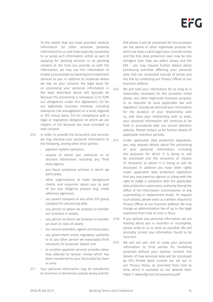To the extent that you have provided medical information (or other sensitive personal information) to us and have explicitly consented to us using such information, either as part of applying for banking services or by granting consent at the time you provide us with the information, we may use this information to enable us to provide our banking and investment services to you. In addition to instances where we rely on your consent, the legal basis for us processing your personal information in the ways described above will typically be because the processing is necessary: (i) to fulfil our obligations under this Agreement; (ii) for our legitimate business interests, including enterprise risk management on a local, regional or EFG Group basis; (iii) for compliance with a legal or regulatory obligation to which we are subject; or (iv) because you have provided us with consent.

27.6 In order to provide the Account(s) and services we may disclose your personal information to the following, among other third parties:

- payment system operators;
- anyone to whom you authorise us to disclose information including any Third Party Agents;
- any fraud avoidance scheme in which we participate;
- other organisations to make background checks and enquiries about you as part of our due diligence process (e.g. credit reference agencies);
- our parent company or any other EFG group company for processing data;
- any person to whom we propose to transfer our business or assets;
- any person to whom we propose to transfer an asset or class of assets;
- our service providers, agents and associates;
- any government entity, regulatory authority or to any other person we reasonably think necessary for purposes stated; and
- to another payment services provider when they attempt to recover money which has been transferred to your Account(s) by them in error.
- 27.7 Your personal information may be transferred to countries or territories outside Jersey and the

EEA where it will be processed for the purposes set out above or other legitimate purpose for which we have a valid legal basis. Outside Jersey and the EEA, data protection laws may be less stringent than they are within Jersey and the EEA - you may request further details about processing activities affecting your personal data that are conducted outside of Jersey and the EEA by contacting our Privacy Officer at our business address.

- 27.8 We will hold your information for as long as is reasonably necessary for the purposes listed above, any other legitimate business purpose, or as required by local applicable law and regulation. Usually we will hold your information for the duration of your relationship with us, and once your relationship with us ends, your personal information will continue to be held in accordance with our record retention policies. Please contact us for further details of applicable retention periods.
- 27.9 Under applicable data protection legislation, you may request details about the processing of your personal information, including the purposes for which it is being or will be processed and the recipients or classes of recipients to whom it is being or will be disclosed. In addition you have other rights under applicable data protection legislation that you may exercise against us along with the right to lodge a complaint with the applicable data protection supervisory authority (being the Office of the Information Commissioner or any superseding or replacement body). To request such details, please send us a written request to Privacy Officer at our business address. We may charge an administration fee of up to the legal maximum from time to time in force.
- 27.10 If you believe any personal information we are holding about you is incorrect or incomplete, please write to us as soon as possible. We will promptly correct any information found to be incorrect.
- 27.11 We will not sell, rent or trade your personal information to third parties for marketing purposes without your express consent. Full details of how personal data will be processed by EFG Private Bank Limited are set out in our Privacy Policy, as amended from time to time, which is available on our website here: https:// [www.efgl.com/privacypolicy.pdf](http://www.efgl.com/privacypolicy.pdf)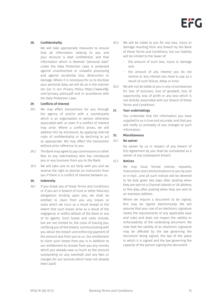

## 28. Confidentiality

We will take appropriate measures to ensure that all information relating to you and your Account is kept confidential, and that information which is deemed "personal data" under the Data Protection Laws is protected against unauthorised or unlawful processing and against accidental loss, destruction or damage. Where it is necessary for us to disclose your personal data, we will do so in the manner set out in our Privacy Policy https://www.efgl. com/privacy policy.pdf and in accordance with the Data Protection Laws.

#### 29. Conflicts of Interest

- 29.1 We may effect transactions for you through the agency of and/or with a counterparty which is an organisation or person otherwise associated with us even if a conflict of interest may arise. Where a conflict arises, we will address this by disclosure, by applying internal rules of confidentiality or by declining to act as appropriate. We may effect the transaction without prior reference to you.
- 29.2 The Bank may agree to pay commissions or other fees to any intermediary who has introduced you or any business from you to the Bank.
- 29.3 We will take care to act fairly with you and we reserve the right to decline an instruction from you if there is a conflict of interest between us.

## 30. Indemnity

30.1 If you break any of these Terms and Conditions or if you act in breach of trust or other fiduciary obligations binding upon you; we shall be entitled to claim from you any losses or costs which we incur as a result except to the extent that such losses arise as a result of the negligence or willful default of the Bank or any of its agents. Such losses and costs include, but are not limited to, the costs of tracing you, notifying you of the breach, communicating with you about the breach and enforcing payment of the amount due from you to us. Our entitlement to claim such losses from you is in addition to our entitlement to recover from you any monies which you already owe us (such as the amount outstanding on any overdraft and any fees or charges for our services which have not already been paid).

- 30.2 We will be liable to you for any loss, injury or damage resulting from any breach by the Bank of these Terms and Conditions, but our liability will be limited to the lower of:
	- the amount of such loss, injury or damage and:
	- the amount of any interest you do not receive or any interest you have to pay as a result of such failure, delay or error.
- 30.3 We will not be liable to you in any circumstances for loss of business, loss of goodwill, loss of opportunity, loss of profit or any loss which is not directly associated with our breach of these Terms and Conditions.

#### 31. Your undertakings

You undertake that the information you have supplied to us is true and accurate, and that you will notify us promptly of any changes to such information.

## 32. Miscellaneous

#### 32.1 No waiver

No waiver by us in respect of any breach of this Agreement by you shall be considered as a waiver of any subsequent breach.

#### 32.2 Notices

We may issue formal notices, requests, instructions and communications to you by post or e-mail , and all such notices will be deemed to be duly given two days after posting when they are sent to a Channel Islands or UK address or five days after posting when they are sent to an overseas address.

Where we require a document to be signed, this may be signed electronically. We will assume that your use of an electronic signature meets the requirements of any applicable laws and rules and does not impact the validity or enforceability of the underlying document. We note that the validity of an electronic signature may be affected by the law governing the document being signed, the law of the place in which it is signed and the law governing the capacity of the person signing the document.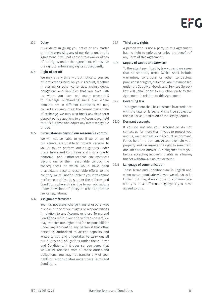# 32.3 Delay

If we delay in giving you notice of any matter or in the exercising any of our rights under this Agreement, it will not constitute a waiver of any of our rights under the Agreement. We reserve the right to enforce any rights subsequently.

## 32.4 Right of set off

We may, at any time without notice to you, set off any credits held on your Account, whether in sterling or other currencies, against debts, obligations and liabilities that you have with us where you have not made payment(s) to discharge outstanding sums due. Where amounts are in different currencies, we may convert such amounts at the current market rate of exchange. We may also break any fixed term deposit period applying to any Account you hold for this purpose and adjust any interest payable or due.

# 32.5 Circumstances beyond our reasonable control

We will not be liable to you if we, or any of our agents, are unable to provide services to you or fail to perform our obligations under these Terms and Conditions and this is due to abnormal and unforeseeable circumstances beyond our or their reasonable control, the consequences of which would have been unavoidable despite reasonable efforts to the contrary. We will not be liable to you if we cannot perform our obligations under these Terms and Conditions where this is due to our obligations under provisions of Jersey or other applicable law or regulations.

# 32.6 Assignment/transfer

You may not assign charge, transfer or otherwise dispose of any of your rights or responsibilities in relation to any Account or these Terms and Conditions without our prior written consent. We may transfer our rights and/or responsibilities under any Account to any person if that other person is authorised to accept deposits and writes to you and undertakes to carry out all our duties and obligations under these Terms and Conditions. If it does so, you agree that we will be released from all those duties and obligations. You may not transfer any of your rights or responsibilities under these Terms and Conditions.

### 32.7 Third party rights

A person who is not a party to this Agreement has no right to enforce or enjoy the benefit of any Term of this Agreement.

## 32.8 Supply of Goods and Services

To the extent permitted by law, you and we agree that no statutory terms (which shall include warranties, conditions or other contractual provisions) or rights, duties or liabilities imposed under the Supply of Goods and Services (Jersey) Law 2009 shall apply to any other party to the Agreement in relation to this Agreement.

## 32.9 Governing law

This Agreement shall be construed in accordance with the laws of Jersey and shall be subject to the exclusive jurisdiction of the Jersey Courts.

## 32.10 Dormant accounts

If you do not use your Account or do not contact us for more than 1 year, to protect you and us, we may treat your Account as dormant. Funds held in a dormant Account remain your property and we reserve the right to seek fresh documentation and/or due diligence from you before accepting incoming credits or allowing further withdrawals on the Account.

## 32.11 Language of communication

These Terms and Conditions are in English and when we communicate with you, we will do so in English but may, if we choose to, communicate with you in a different language if you have agreed to this.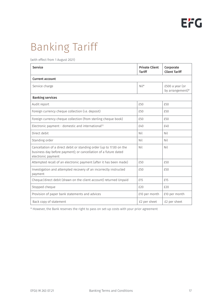# Banking Tariff

(with effect from 1 August 2021)

| <b>Service</b>                                                                                                                                                | <b>Private Client</b><br><b>Tariff</b> | Corporate<br><b>Client Tariff</b>   |  |
|---------------------------------------------------------------------------------------------------------------------------------------------------------------|----------------------------------------|-------------------------------------|--|
| <b>Current account</b>                                                                                                                                        |                                        |                                     |  |
| Service charge                                                                                                                                                | $Nil*$                                 | £500 a year (or<br>by arrangement)* |  |
| <b>Banking services</b>                                                                                                                                       |                                        |                                     |  |
| Audit report                                                                                                                                                  | £50                                    | £50                                 |  |
| Foreign currency cheque collection (i.e. deposit)                                                                                                             | £50                                    | £50                                 |  |
| Foreign currency cheque collection (from sterling cheque book)                                                                                                | £50                                    | £50                                 |  |
| Electronic payment - domestic and international <sup>(1)</sup>                                                                                                | f40                                    | f40                                 |  |
| Direct debit                                                                                                                                                  | Nil                                    | Nil                                 |  |
| Standing order                                                                                                                                                | Nil                                    | Nil                                 |  |
| Cancellation of a direct debit or standing order (up to 17.00 on the<br>business day before payment); or cancellation of a future dated<br>electronic payment | Nil                                    | Nil                                 |  |
| Attempted recall of an electronic payment (after it has been made)                                                                                            | £50                                    | £50                                 |  |
| Investigation and attempted recovery of an incorrectly instructed<br>payment                                                                                  | £50                                    | £50                                 |  |
| Cheque/direct debit (drawn on the client account) returned Unpaid                                                                                             | £15                                    | £15                                 |  |
| Stopped cheque                                                                                                                                                | £20                                    | £20                                 |  |
| Provision of paper bank statements and advices                                                                                                                | £10 per month                          | £10 per month                       |  |
| Back copy of statement                                                                                                                                        | £2 per sheet                           | £2 per sheet                        |  |

\* However, the Bank reserves the right to pass on set-up costs with your prior agreement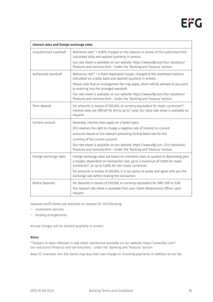| Interest rates and foreign exchange rates |                                                                                                                                                                                                                                                                                                                                                                                                                                                             |  |
|-------------------------------------------|-------------------------------------------------------------------------------------------------------------------------------------------------------------------------------------------------------------------------------------------------------------------------------------------------------------------------------------------------------------------------------------------------------------------------------------------------------------|--|
| Unauthorised overdraft                    | Reference rate <sup>(2)</sup> + 8.00% charged on the balance in excess of the authorised limit,<br>calculated daily and applied quarterly in arrears.<br>Our rate sheet is available on our website: https://www.efgl.com/Our-solutions/<br>Products-and-services.html - Under the 'Banking and Treasury' section.                                                                                                                                          |  |
| Authorised overdraft                      | Reference rate <sup>(2)</sup> + a fixed negotiated margin, charged to the overdrawn balance,<br>calculated on a daily basis and applied quarterly in arrears.<br>Please note that an arrangement fee may apply, which will be advised to you prior<br>to entering into the arranged overdraft.<br>Our rate sheet is available on our website: https://www.efgl.com/Our-solutions/<br>Products-and-services.html - Under the 'Banking and Treasury' section. |  |
| Term deposit                              | For amounts in excess of £50,000, or currency equivalent for major currencies <sup>(3)</sup> ,<br>interest rates are offered for terms up to 1 year. Our daily rate sheet is available on<br>request.                                                                                                                                                                                                                                                       |  |
| Current account                           | Generally, interest rates apply on a tiered basis.<br>EFG reserves the right to charge a negative rate of interest on current<br>accounts based on the relevant prevailing Central Bank rate for the<br>currency of the current account.<br>Our rate sheet is available on our website: https://www.efgl.com /Our-solutions/<br>Products-and-services.html - Under the 'Banking and Treasury' section.                                                      |  |
| Foreign exchange rates                    | Foreign exchange rates are based on interbank rates as quoted on Bloomberg plus<br>a margin, dependent on transaction size, up to a maximum of 3.50% for major<br>currencies <sup>(3)</sup> , or up to 5.00% for non major currencies.<br>For amounts in excess of £50,000, it is our policy to quote and agree with you the<br>exchange rate before making the transaction.                                                                                |  |
| Notice Deposits                           | For deposits in excess of £50,000, or currency equivalent for GBP, USD or EUR.<br>Our deposit rate sheet is available from your Client Relationship Officer upon<br>request.                                                                                                                                                                                                                                                                                |  |

Separate tariff sheets are available on request for the following:

- investment services
- lending arrangements

Annual charges will be debited quarterly in arrears

## Notes

\*\*Subject to rates reflected in rate sheet maintained available on our website: https://www.efg l.com/ Our-solutions/Products-and services.html - under the 'Banking and Treasury' section

Note (1): Overseas non-EEA banks may levy their own charge on incoming payments in addition to our fee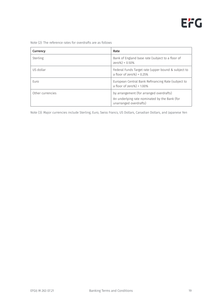Note (2): The reference rates for overdrafts are as follows

| Currency         | Rate                                                                                                                |
|------------------|---------------------------------------------------------------------------------------------------------------------|
| Sterling         | Bank of England base rate (subject to a floor of<br>zero%) + 0.50%                                                  |
| US dollar        | Federal Funds Target rate (upper bound & subject to<br>a floor of zero%) + $0.25%$                                  |
| Euro             | European Central Bank Refinancing Rate (subject to<br>a floor of zero%) + 1.00%                                     |
| Other currencies | by arrangement (for arranged overdrafts)<br>An underlying rate nominated by the Bank (for<br>unarranged overdrafts) |

Note (3): Major currencies include Sterling, Euro, Swiss Francs, US Dollars, Canadian Dollars, and Japanese Yen